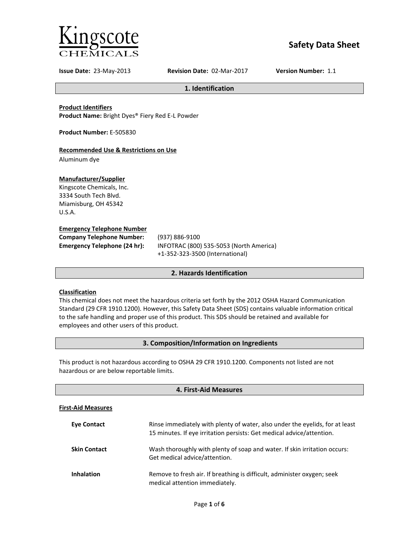

# **Safety Data Sheet**

**Issue Date:** 23-May-2013 **Revision Date:** 02-Mar-2017 **Version Number:** 1.1

**1. Identification**

**Product Identifiers**

**Product Name:** Bright Dyes® Fiery Red E-L Powder

**Product Number:** E-505830

## **Recommended Use & Restrictions on Use**

Aluminum dye

## **Manufacturer/Supplier**

Kingscote Chemicals, Inc. 3334 South Tech Blvd. Miamisburg, OH 45342 U.S.A.

#### **Emergency Telephone Number**

| <b>Company Telephone Number:</b> | (93)            |
|----------------------------------|-----------------|
| Emergency Telephone (24 hr):     | IN <sub>F</sub> |
|                                  |                 |

**Company Telephone Number:** (937) 886-9100 **Emergency Telephone (24 hr):** INFOTRAC (800) 535-5053 (North America) +1-352-323-3500 (International)

## **2. Hazards Identification**

## **Classification**

This chemical does not meet the hazardous criteria set forth by the 2012 OSHA Hazard Communication Standard (29 CFR 1910.1200). However, this Safety Data Sheet (SDS) contains valuable information critical to the safe handling and proper use of this product. This SDS should be retained and available for employees and other users of this product.

## **3. Composition/Information on Ingredients**

This product is not hazardous according to OSHA 29 CFR 1910.1200. Components not listed are not hazardous or are below reportable limits.

| 4. First-Aid Measures     |                                                                                                                                                       |  |
|---------------------------|-------------------------------------------------------------------------------------------------------------------------------------------------------|--|
| <b>First-Aid Measures</b> |                                                                                                                                                       |  |
| <b>Eve Contact</b>        | Rinse immediately with plenty of water, also under the eyelids, for at least<br>15 minutes. If eye irritation persists: Get medical advice/attention. |  |
| <b>Skin Contact</b>       | Wash thoroughly with plenty of soap and water. If skin irritation occurs:<br>Get medical advice/attention.                                            |  |
| <b>Inhalation</b>         | Remove to fresh air. If breathing is difficult, administer oxygen; seek<br>medical attention immediately.                                             |  |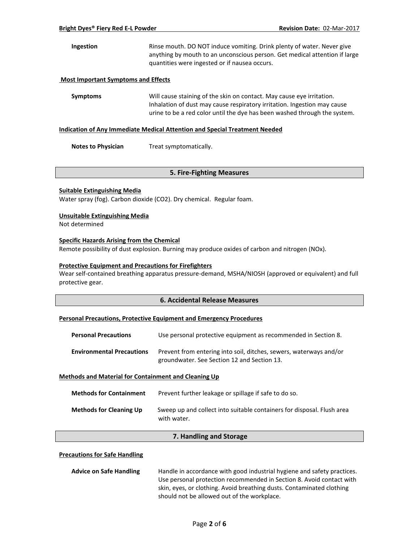## **Ingestion** Rinse mouth. DO NOT induce vomiting. Drink plenty of water. Never give anything by mouth to an unconscious person. Get medical attention if large quantities were ingested or if nausea occurs.

#### **Most Important Symptoms and Effects**

**Symptoms** Will cause staining of the skin on contact. May cause eye irritation. Inhalation of dust may cause respiratory irritation. Ingestion may cause urine to be a red color until the dye has been washed through the system.

#### **Indication of Any Immediate Medical Attention and Special Treatment Needed**

**Notes to Physician** Treat symptomatically.

## **5. Fire-Fighting Measures**

#### **Suitable Extinguishing Media**

Water spray (fog). Carbon dioxide (CO2). Dry chemical. Regular foam.

#### **Unsuitable Extinguishing Media**

Not determined

#### **Specific Hazards Arising from the Chemical**

Remote possibility of dust explosion. Burning may produce oxides of carbon and nitrogen (NOx).

#### **Protective Equipment and Precautions for Firefighters**

Wear self-contained breathing apparatus pressure-demand, MSHA/NIOSH (approved or equivalent) and full protective gear.

## **6. Accidental Release Measures**

#### **Personal Precautions, Protective Equipment and Emergency Procedures**

| <b>Personal Precautions</b>      | Use personal protective equipment as recommended in Section 8.                                                    |
|----------------------------------|-------------------------------------------------------------------------------------------------------------------|
| <b>Environmental Precautions</b> | Prevent from entering into soil, ditches, sewers, waterways and/or<br>groundwater. See Section 12 and Section 13. |

#### **Methods and Material for Containment and Cleaning Up**

| <b>Methods for Containment</b> | Prevent further leakage or spillage if safe to do so.                                 |
|--------------------------------|---------------------------------------------------------------------------------------|
| <b>Methods for Cleaning Up</b> | Sweep up and collect into suitable containers for disposal. Flush area<br>with water. |

## **7. Handling and Storage**

#### **Precautions for Safe Handling**

| <b>Advice on Safe Handling</b> | Handle in accordance with good industrial hygiene and safety practices. |  |
|--------------------------------|-------------------------------------------------------------------------|--|
|                                | Use personal protection recommended in Section 8. Avoid contact with    |  |
|                                | skin, eyes, or clothing. Avoid breathing dusts. Contaminated clothing   |  |
|                                | should not be allowed out of the workplace.                             |  |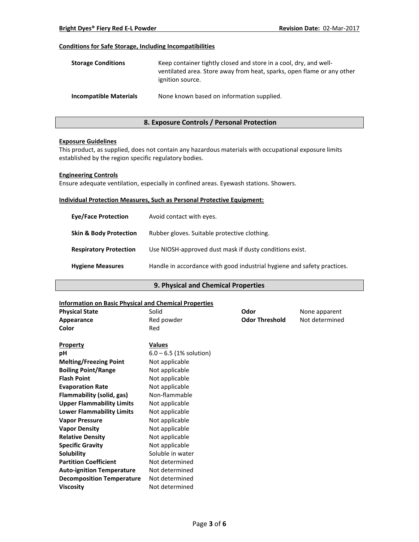## **Conditions for Safe Storage, Including Incompatibilities**

| <b>Storage Conditions</b>     | Keep container tightly closed and store in a cool, dry, and well-<br>ventilated area. Store away from heat, sparks, open flame or any other<br>ignition source. |
|-------------------------------|-----------------------------------------------------------------------------------------------------------------------------------------------------------------|
| <b>Incompatible Materials</b> | None known based on information supplied.                                                                                                                       |

## **8. Exposure Controls / Personal Protection**

#### **Exposure Guidelines**

This product, as supplied, does not contain any hazardous materials with occupational exposure limits established by the region specific regulatory bodies.

#### **Engineering Controls**

Ensure adequate ventilation, especially in confined areas. Eyewash stations. Showers.

#### **Individual Protection Measures, Such as Personal Protective Equipment:**

| <b>Eve/Face Protection</b>        | Avoid contact with eyes.                                                |
|-----------------------------------|-------------------------------------------------------------------------|
| <b>Skin &amp; Body Protection</b> | Rubber gloves. Suitable protective clothing.                            |
| <b>Respiratory Protection</b>     | Use NIOSH-approved dust mask if dusty conditions exist.                 |
| <b>Hygiene Measures</b>           | Handle in accordance with good industrial hygiene and safety practices. |

## **9. Physical and Chemical Properties**

## **Information on Basic Physical and Chemical Properties**

| mionination on basic rinysical and chemical ribberties |                           |                       |                |
|--------------------------------------------------------|---------------------------|-----------------------|----------------|
| <b>Physical State</b>                                  | Solid                     | Odor                  | None apparent  |
| Appearance                                             | Red powder                | <b>Odor Threshold</b> | Not determined |
| Color                                                  | Red                       |                       |                |
| <b>Property</b>                                        | <b>Values</b>             |                       |                |
| pH                                                     | $6.0 - 6.5$ (1% solution) |                       |                |
| <b>Melting/Freezing Point</b>                          | Not applicable            |                       |                |
| <b>Boiling Point/Range</b>                             | Not applicable            |                       |                |
| <b>Flash Point</b>                                     | Not applicable            |                       |                |
| <b>Evaporation Rate</b>                                | Not applicable            |                       |                |
| Flammability (solid, gas)                              | Non-flammable             |                       |                |
| <b>Upper Flammability Limits</b>                       | Not applicable            |                       |                |
| <b>Lower Flammability Limits</b>                       | Not applicable            |                       |                |
| <b>Vapor Pressure</b>                                  | Not applicable            |                       |                |
| <b>Vapor Density</b>                                   | Not applicable            |                       |                |
| <b>Relative Density</b>                                | Not applicable            |                       |                |
| <b>Specific Gravity</b>                                | Not applicable            |                       |                |
| Solubility                                             | Soluble in water          |                       |                |
| <b>Partition Coefficient</b>                           | Not determined            |                       |                |
| <b>Auto-ignition Temperature</b>                       | Not determined            |                       |                |
| <b>Decomposition Temperature</b>                       | Not determined            |                       |                |
| <b>Viscosity</b>                                       | Not determined            |                       |                |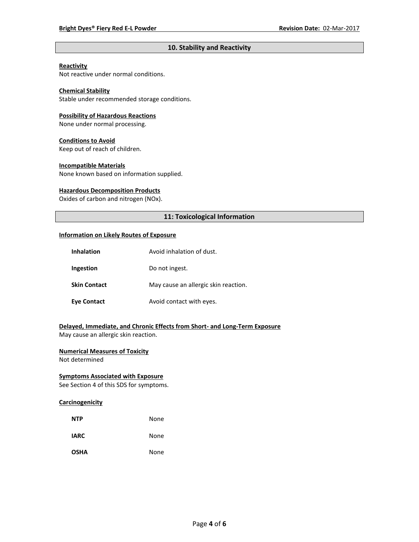## **10. Stability and Reactivity**

## **Reactivity**

Not reactive under normal conditions.

## **Chemical Stability**

Stable under recommended storage conditions.

#### **Possibility of Hazardous Reactions**

None under normal processing.

#### **Conditions to Avoid**

Keep out of reach of children.

#### **Incompatible Materials**

None known based on information supplied.

#### **Hazardous Decomposition Products**

Oxides of carbon and nitrogen (NOx).

## **11: Toxicological Information**

#### **Information on Likely Routes of Exposure**

| <b>Inhalation</b>   | Avoid inhalation of dust.            |
|---------------------|--------------------------------------|
| Ingestion           | Do not ingest.                       |
| <b>Skin Contact</b> | May cause an allergic skin reaction. |
| <b>Eye Contact</b>  | Avoid contact with eyes.             |

## **Delayed, Immediate, and Chronic Effects from Short- and Long-Term Exposure**

May cause an allergic skin reaction.

## **Numerical Measures of Toxicity**

Not determined

## **Symptoms Associated with Exposure**

See Section 4 of this SDS for symptoms.

## **Carcinogenicity**

| <b>NTP</b>  | None |
|-------------|------|
| <b>IARC</b> | None |
| <b>OSHA</b> | None |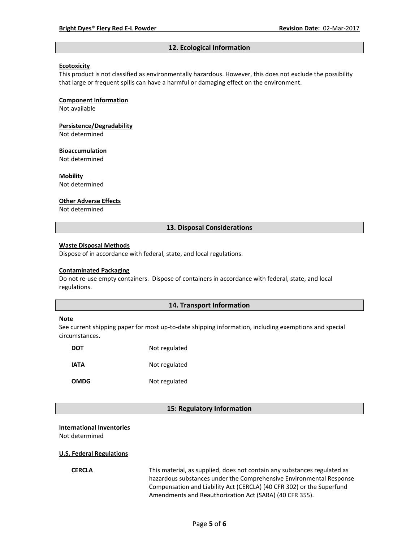#### **12. Ecological Information**

#### **Ecotoxicity**

This product is not classified as environmentally hazardous. However, this does not exclude the possibility that large or frequent spills can have a harmful or damaging effect on the environment.

#### **Component Information**

Not available

# **Persistence/Degradability**

Not determined

#### **Bioaccumulation**

Not determined

#### **Mobility**

Not determined

#### **Other Adverse Effects**

Not determined

#### **13. Disposal Considerations**

#### **Waste Disposal Methods**

Dispose of in accordance with federal, state, and local regulations.

#### **Contaminated Packaging**

Do not re-use empty containers.Dispose of containers in accordance with federal, state, and local regulations.

### **14. Transport Information**

#### **Note**

See current shipping paper for most up-to-date shipping information, including exemptions and special circumstances.

| DOT         | Not regulated |
|-------------|---------------|
| IATA        | Not regulated |
| <b>OMDG</b> | Not regulated |

#### **15: Regulatory Information**

#### **International Inventories**

Not determined

#### **U.S. Federal Regulations**

**CERCLA** This material, as supplied, does not contain any substances regulated as hazardous substances under the Comprehensive Environmental Response Compensation and Liability Act (CERCLA) (40 CFR 302) or the Superfund Amendments and Reauthorization Act (SARA) (40 CFR 355).